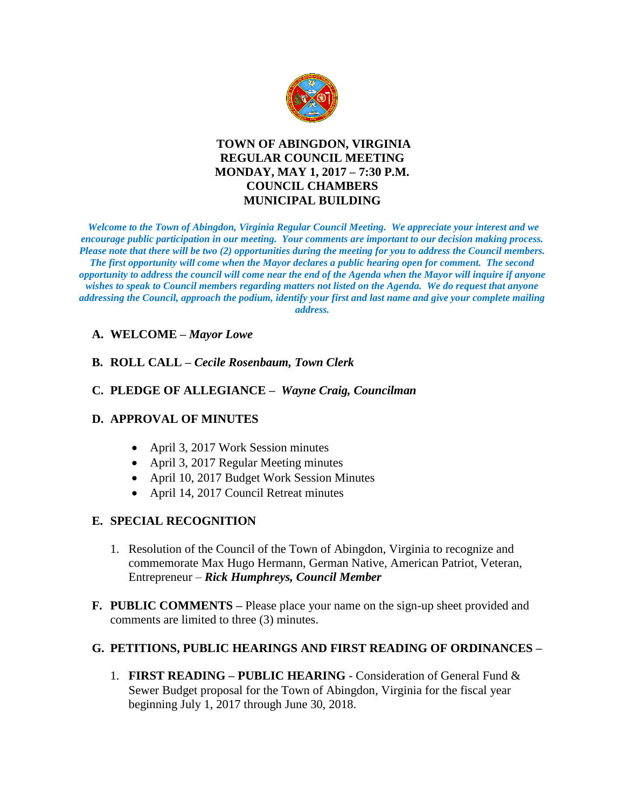

# **TOWN OF ABINGDON, VIRGINIA REGULAR COUNCIL MEETING MONDAY, MAY 1, 2017 – 7:30 P.M. COUNCIL CHAMBERS MUNICIPAL BUILDING**

*Welcome to the Town of Abingdon, Virginia Regular Council Meeting. We appreciate your interest and we encourage public participation in our meeting. Your comments are important to our decision making process. Please note that there will be two (2) opportunities during the meeting for you to address the Council members. The first opportunity will come when the Mayor declares a public hearing open for comment. The second opportunity to address the council will come near the end of the Agenda when the Mayor will inquire if anyone wishes to speak to Council members regarding matters not listed on the Agenda. We do request that anyone addressing the Council, approach the podium, identify your first and last name and give your complete mailing address.* 

# **A. WELCOME –** *Mayor Lowe*

# **B. ROLL CALL –** *Cecile Rosenbaum, Town Clerk*

# **C. PLEDGE OF ALLEGIANCE –** *Wayne Craig, Councilman*

# **D. APPROVAL OF MINUTES**

- April 3, 2017 Work Session minutes
- April 3, 2017 Regular Meeting minutes
- April 10, 2017 Budget Work Session Minutes
- April 14, 2017 Council Retreat minutes

# **E. SPECIAL RECOGNITION**

- 1. Resolution of the Council of the Town of Abingdon, Virginia to recognize and commemorate Max Hugo Hermann, German Native, American Patriot, Veteran, Entrepreneur – *Rick Humphreys, Council Member*
- **F. PUBLIC COMMENTS –** Please place your name on the sign-up sheet provided and comments are limited to three (3) minutes.

# **G. PETITIONS, PUBLIC HEARINGS AND FIRST READING OF ORDINANCES –**

1. **FIRST READING – PUBLIC HEARING** - Consideration of General Fund & Sewer Budget proposal for the Town of Abingdon, Virginia for the fiscal year beginning July 1, 2017 through June 30, 2018.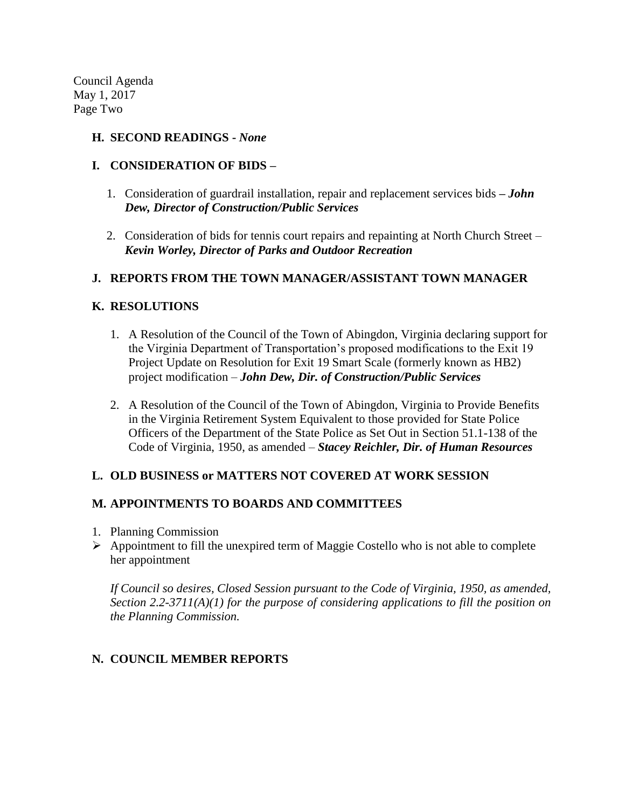Council Agenda May 1, 2017 Page Two

#### **H. SECOND READINGS -** *None*

### **I. CONSIDERATION OF BIDS –**

- 1. Consideration of guardrail installation, repair and replacement services bids **–** *John Dew, Director of Construction/Public Services*
- 2. Consideration of bids for tennis court repairs and repainting at North Church Street *Kevin Worley, Director of Parks and Outdoor Recreation*

### **J. REPORTS FROM THE TOWN MANAGER/ASSISTANT TOWN MANAGER**

### **K. RESOLUTIONS**

- 1. A Resolution of the Council of the Town of Abingdon, Virginia declaring support for the Virginia Department of Transportation's proposed modifications to the Exit 19 Project Update on Resolution for Exit 19 Smart Scale (formerly known as HB2) project modification – *John Dew, Dir. of Construction/Public Services*
- 2. A Resolution of the Council of the Town of Abingdon, Virginia to Provide Benefits in the Virginia Retirement System Equivalent to those provided for State Police Officers of the Department of the State Police as Set Out in Section 51.1-138 of the Code of Virginia, 1950, as amended – *Stacey Reichler, Dir. of Human Resources*

#### **L. OLD BUSINESS or MATTERS NOT COVERED AT WORK SESSION**

#### **M. APPOINTMENTS TO BOARDS AND COMMITTEES**

- 1. Planning Commission
- $\triangleright$  Appointment to fill the unexpired term of Maggie Costello who is not able to complete her appointment

*If Council so desires, Closed Session pursuant to the Code of Virginia, 1950, as amended, Section 2.2-3711(A)(1) for the purpose of considering applications to fill the position on the Planning Commission.* 

# **N. COUNCIL MEMBER REPORTS**